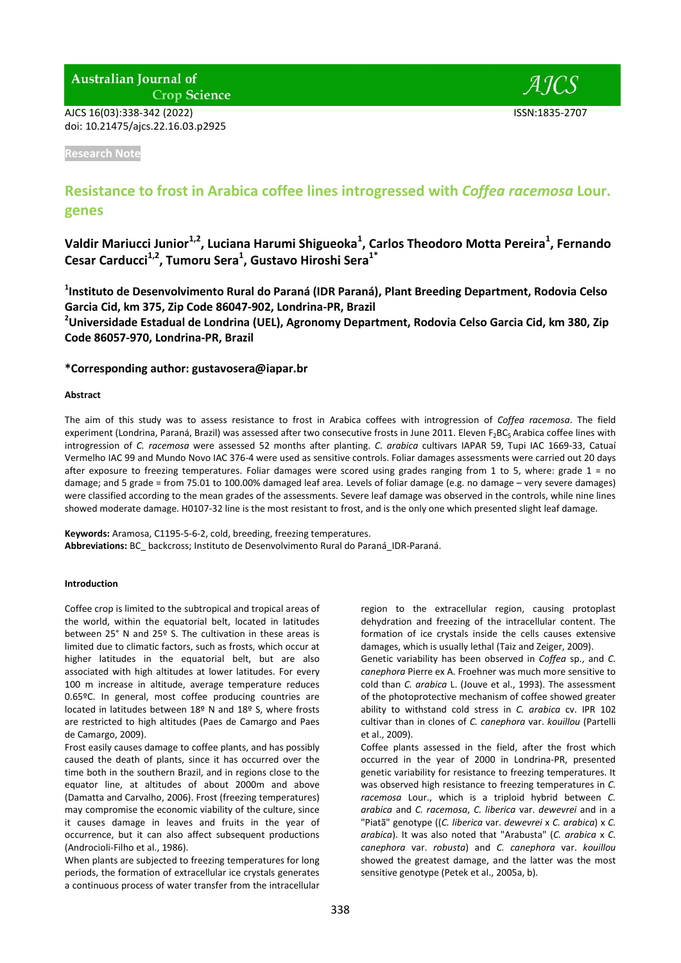# **Australian Journal of**

**Crop Science** 

AJCS 16(03):338-342 (2022) ISSN:1835-2707 doi: 10.21475/ajcs.22.16.03.p2925



**Research Note**

# **Resistance to frost in Arabica coffee lines introgressed with** *Coffea racemosa* **Lour. genes**

**Valdir Mariucci Junior1,2 , Luciana Harumi Shigueoka<sup>1</sup> , Carlos Theodoro Motta Pereira<sup>1</sup> , Fernando Cesar Carducci1,2 , Tumoru Sera<sup>1</sup> , Gustavo Hiroshi Sera1\***

**1 Instituto de Desenvolvimento Rural do Paraná (IDR Paraná), Plant Breeding Department, Rodovia Celso Garcia Cid, km 375, Zip Code 86047-902, Londrina-PR, Brazil**

**<sup>2</sup>Universidade Estadual de Londrina (UEL), Agronomy Department, Rodovia Celso Garcia Cid, km 380, Zip Code 86057-970, Londrina-PR, Brazil**

## **\*Corresponding author: gustavosera@iapar.br**

#### **Abstract**

The aim of this study was to assess resistance to frost in Arabica coffees with introgression of *Coffea racemosa*. The field experiment (Londrina, Paraná, Brazil) was assessed after two consecutive frosts in June 2011. Eleven F<sub>2</sub>BC<sub>5</sub> Arabica coffee lines with introgression of *C. racemosa* were assessed 52 months after planting. *C. arabica* cultivars IAPAR 59, Tupi IAC 1669-33, Catuaí Vermelho IAC 99 and Mundo Novo IAC 376-4 were used as sensitive controls. Foliar damages assessments were carried out 20 days after exposure to freezing temperatures. Foliar damages were scored using grades ranging from 1 to 5, where: grade 1 = no damage; and 5 grade = from 75.01 to 100.00% damaged leaf area. Levels of foliar damage (e.g. no damage – very severe damages) were classified according to the mean grades of the assessments. Severe leaf damage was observed in the controls, while nine lines showed moderate damage. H0107-32 line is the most resistant to frost, and is the only one which presented slight leaf damage.

**Keywords:** Aramosa, C1195-5-6-2, cold, breeding, freezing temperatures. **Abbreviations:** BC\_ backcross; Instituto de Desenvolvimento Rural do Paraná\_IDR-Paraná.

#### **Introduction**

Coffee crop is limited to the subtropical and tropical areas of the world, within the equatorial belt, located in latitudes between 25° N and 25º S. The cultivation in these areas is limited due to climatic factors, such as frosts, which occur at higher latitudes in the equatorial belt, but are also associated with high altitudes at lower latitudes. For every 100 m increase in altitude, average temperature reduces 0.65ºC. In general, most coffee producing countries are located in latitudes between 18º N and 18º S, where frosts are restricted to high altitudes (Paes de Camargo and Paes de Camargo, 2009).

Frost easily causes damage to coffee plants, and has possibly caused the death of plants, since it has occurred over the time both in the southern Brazil, and in regions close to the equator line, at altitudes of about 2000m and above (Damatta and Carvalho, 2006). Frost (freezing temperatures) may compromise the economic viability of the culture, since it causes damage in leaves and fruits in the year of occurrence, but it can also affect subsequent productions (Androcioli-Filho et al., 1986).

When plants are subjected to freezing temperatures for long periods, the formation of extracellular ice crystals generates a continuous process of water transfer from the intracellular

region to the extracellular region, causing protoplast dehydration and freezing of the intracellular content. The formation of ice crystals inside the cells causes extensive damages, which is usually lethal (Taiz and Zeiger, 2009).

Genetic variability has been observed in *Coffea* sp., and *C. canephora* Pierre ex A. Froehner was much more sensitive to cold than *C. arabica* L. (Jouve et al., 1993). The assessment of the photoprotective mechanism of coffee showed greater ability to withstand cold stress in *C. arabica* cv. IPR 102 cultivar than in clones of *C. canephora* var. *kouillou* (Partelli et al., 2009).

Coffee plants assessed in the field, after the frost which occurred in the year of 2000 in Londrina-PR, presented genetic variability for resistance to freezing temperatures. It was observed high resistance to freezing temperatures in *C. racemosa* Lour., which is a triploid hybrid between *C. arabica* and *C. racemosa*, *C. liberica* var. *dewevrei* and in a "Piatã" genotype ((*C. liberica* var. *dewevrei* x *C. arabica*) x *C. arabica*). It was also noted that "Arabusta" (*C. arabica* x *C. canephora* var. *robusta*) and *C. canephora* var. *kouillou*  showed the greatest damage, and the latter was the most sensitive genotype (Petek et al., 2005a, b).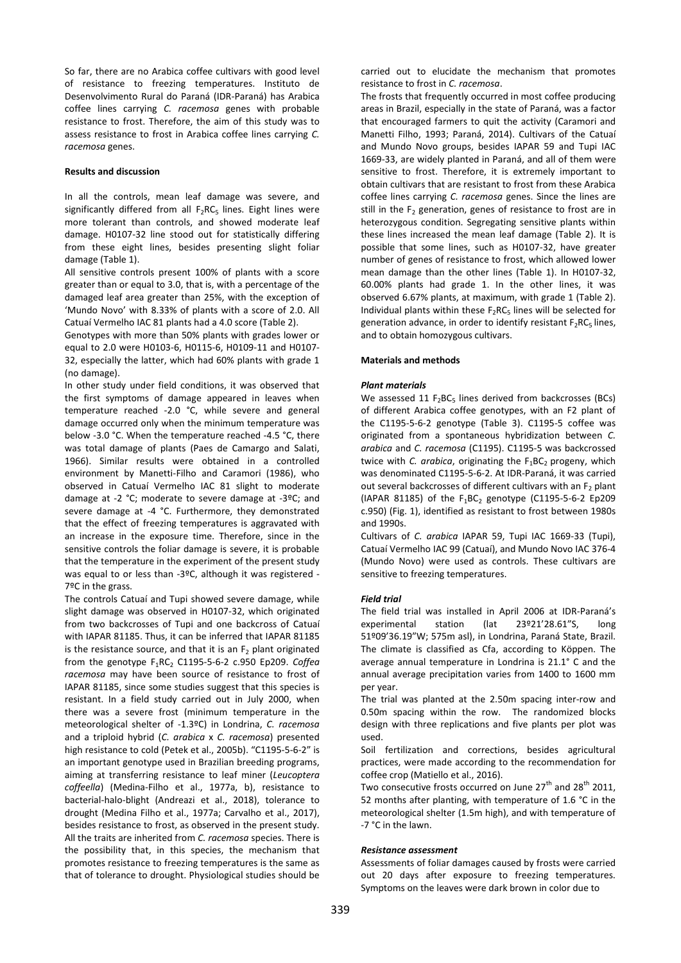So far, there are no Arabica coffee cultivars with good level of resistance to freezing temperatures. Instituto de Desenvolvimento Rural do Paraná (IDR-Paraná) has Arabica coffee lines carrying *C. racemosa* genes with probable resistance to frost. Therefore, the aim of this study was to assess resistance to frost in Arabica coffee lines carrying *C. racemosa* genes.

#### **Results and discussion**

In all the controls, mean leaf damage was severe, and significantly differed from all  $F_2RC_5$  lines. Eight lines were more tolerant than controls, and showed moderate leaf damage. H0107-32 line stood out for statistically differing from these eight lines, besides presenting slight foliar damage (Table 1).

All sensitive controls present 100% of plants with a score greater than or equal to 3.0, that is, with a percentage of the damaged leaf area greater than 25%, with the exception of 'Mundo Novo' with 8.33% of plants with a score of 2.0. All Catuaí Vermelho IAC 81 plants had a 4.0 score (Table 2).

Genotypes with more than 50% plants with grades lower or equal to 2.0 were H0103-6, H0115-6, H0109-11 and H0107- 32, especially the latter, which had 60% plants with grade 1 (no damage).

In other study under field conditions, it was observed that the first symptoms of damage appeared in leaves when temperature reached -2.0 °C, while severe and general damage occurred only when the minimum temperature was below -3.0 °C. When the temperature reached -4.5 °C, there was total damage of plants (Paes de Camargo and Salati, 1966). Similar results were obtained in a controlled environment by Manetti-Filho and Caramori (1986), who observed in Catuaí Vermelho IAC 81 slight to moderate damage at -2 °C; moderate to severe damage at -3ºC; and severe damage at -4 °C. Furthermore, they demonstrated that the effect of freezing temperatures is aggravated with an increase in the exposure time. Therefore, since in the sensitive controls the foliar damage is severe, it is probable that the temperature in the experiment of the present study was equal to or less than -3ºC, although it was registered - 7ºC in the grass.

The controls Catuaí and Tupi showed severe damage, while slight damage was observed in H0107-32, which originated from two backcrosses of Tupi and one backcross of Catuaí with IAPAR 81185. Thus, it can be inferred that IAPAR 81185 is the resistance source, and that it is an  $F_2$  plant originated from the genotype F<sub>1</sub>RC<sub>2</sub> C1195-5-6-2 c.950 Ep209. *Coffea racemosa* may have been source of resistance to frost of IAPAR 81185, since some studies suggest that this species is resistant. In a field study carried out in July 2000, when there was a severe frost (minimum temperature in the meteorological shelter of -1.3ºC) in Londrina, *C. racemosa* and a triploid hybrid (*C. arabica* x *C. racemosa*) presented high resistance to cold (Petek et al., 2005b). "C1195-5-6-2" is an important genotype used in Brazilian breeding programs, aiming at transferring resistance to leaf miner (*Leucoptera coffeella*) (Medina-Filho et al., 1977a, b), resistance to bacterial-halo-blight (Andreazi et al., 2018), tolerance to drought (Medina Filho et al., 1977a; Carvalho et al., 2017), besides resistance to frost, as observed in the present study. All the traits are inherited from *C. racemosa* species. There is the possibility that, in this species, the mechanism that promotes resistance to freezing temperatures is the same as that of tolerance to drought. Physiological studies should be

carried out to elucidate the mechanism that promotes resistance to frost in *C. racemosa*.

The frosts that frequently occurred in most coffee producing areas in Brazil, especially in the state of Paraná, was a factor that encouraged farmers to quit the activity (Caramori and Manetti Filho, 1993; Paraná, 2014). Cultivars of the Catuaí and Mundo Novo groups, besides IAPAR 59 and Tupi IAC 1669-33, are widely planted in Paraná, and all of them were sensitive to frost. Therefore, it is extremely important to obtain cultivars that are resistant to frost from these Arabica coffee lines carrying *C. racemosa* genes. Since the lines are still in the  $F_2$  generation, genes of resistance to frost are in heterozygous condition. Segregating sensitive plants within these lines increased the mean leaf damage (Table 2). It is possible that some lines, such as H0107-32, have greater number of genes of resistance to frost, which allowed lower mean damage than the other lines (Table 1). In H0107-32, 60.00% plants had grade 1. In the other lines, it was observed 6.67% plants, at maximum, with grade 1 (Table 2). Individual plants within these  $F_2RC_5$  lines will be selected for generation advance, in order to identify resistant  $F_2RC_5$  lines, and to obtain homozygous cultivars.

### **Materials and methods**

#### *Plant materials*

We assessed  $11 F_2BC_5$  lines derived from backcrosses (BCs) of different Arabica coffee genotypes, with an F2 plant of the C1195-5-6-2 genotype (Table 3). C1195-5 coffee was originated from a spontaneous hybridization between *C. arabica* and *C. racemosa* (C1195). C1195-5 was backcrossed twice with *C. arabica*, originating the  $F_1BC_2$  progeny, which was denominated C1195-5-6-2. At IDR-Paraná, it was carried out several backcrosses of different cultivars with an  $F_2$  plant (IAPAR 81185) of the  $F_1BC_2$  genotype (C1195-5-6-2 Ep209 c.950) (Fig. 1), identified as resistant to frost between 1980s and 1990s.

Cultivars of *C. arabica* IAPAR 59, Tupi IAC 1669-33 (Tupi), Catuaí Vermelho IAC 99 (Catuaí), and Mundo Novo IAC 376-4 (Mundo Novo) were used as controls. These cultivars are sensitive to freezing temperatures.

## *Field trial*

The field trial was installed in April 2006 at IDR-Paraná's experimental station (lat 23º21'28.61"S, long 51º09'36.19"W; 575m asl), in Londrina, Paraná State, Brazil. The climate is classified as Cfa, according to Köppen. The average annual temperature in Londrina is 21.1° C and the annual average precipitation varies from 1400 to 1600 mm per year.

The trial was planted at the 2.50m spacing inter-row and 0.50m spacing within the row. The randomized blocks design with three replications and five plants per plot was used.

Soil fertilization and corrections, besides agricultural practices, were made according to the recommendation for coffee crop (Matiello et al., 2016).

Two consecutive frosts occurred on June  $27^{th}$  and  $28^{th}$  2011, 52 months after planting, with temperature of 1.6 °C in the meteorological shelter (1.5m high), and with temperature of -7 °C in the lawn.

## *Resistance assessment*

Assessments of foliar damages caused by frosts were carried out 20 days after exposure to freezing temperatures. Symptoms on the leaves were dark brown in color due to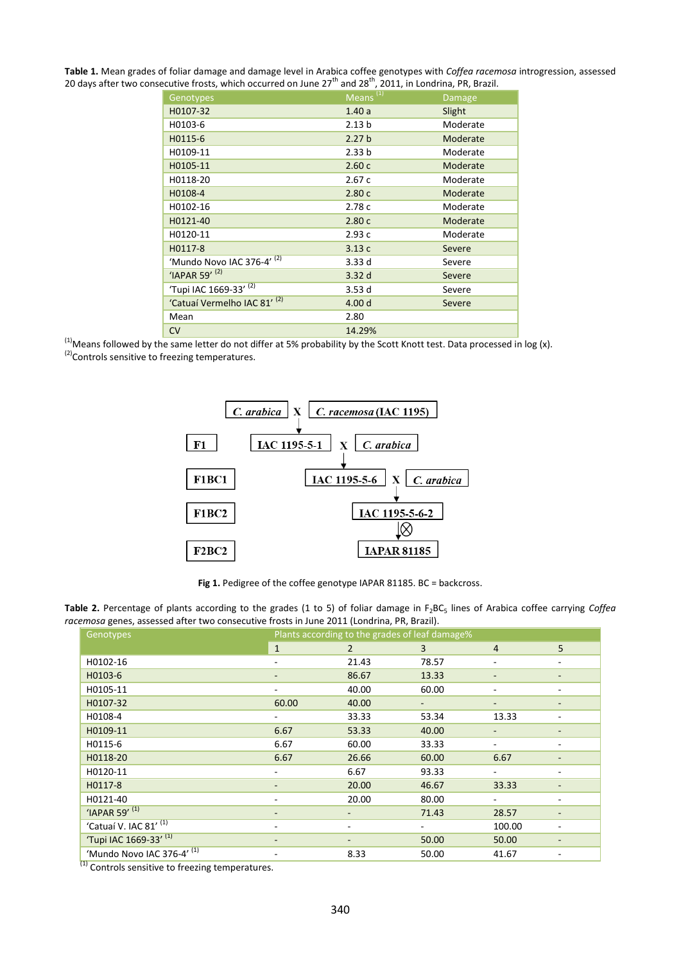**Table 1.** Mean grades of foliar damage and damage level in Arabica coffee genotypes with *Coffea racemosa* introgression, assessed 20 days after two consecutive frosts, which occurred on June  $27<sup>th</sup>$  and  $28<sup>th</sup>$ , 2011, in Londrina, PR, Brazil.

| Genotypes                               | Means <sup>(1)</sup> | Damage   |
|-----------------------------------------|----------------------|----------|
| H0107-32                                | 1.40a                | Slight   |
| H0103-6                                 | 2.13 <sub>b</sub>    | Moderate |
| H0115-6                                 | 2.27 <sub>b</sub>    | Moderate |
| H0109-11                                | 2.33 <sub>b</sub>    | Moderate |
| H0105-11                                | 2.60c                | Moderate |
| H0118-20                                | 2.67c                | Moderate |
| H0108-4                                 | 2.80c                | Moderate |
| H0102-16                                | 2.78c                | Moderate |
| H0121-40                                | 2.80c                | Moderate |
| H0120-11                                | 2.93c                | Moderate |
| H0117-8                                 | 3.13c                | Severe   |
| 'Mundo Novo IAC 376-4' (2)              | 3.33d                | Severe   |
| 'IAPAR 59' $(2)$                        | 3.32d                | Severe   |
| 'Tupi IAC 1669-33' (2)                  | 3.53d                | Severe   |
| 'Catuaí Vermelho IAC 81' <sup>(2)</sup> | 4.00 d               | Severe   |
| Mean                                    | 2.80                 |          |
| <b>CV</b>                               | 14.29%               |          |

 $\frac{(1)}{N}$ Means followed by the same letter do not differ at 5% probability by the Scott Knott test. Data processed in log (x).  $<sup>(2)</sup>$  Controls sensitive to freezing temperatures.</sup>



Fig 1. Pedigree of the coffee genotype IAPAR 81185. BC = backcross.

| Table 2. Percentage of plants according to the grades (1 to 5) of foliar damage in $F_2BC_5$ lines of Arabica coffee carrying Coffea |  |
|--------------------------------------------------------------------------------------------------------------------------------------|--|
| racemosa genes, assessed after two consecutive frosts in June 2011 (Londrina, PR, Brazil).                                           |  |

| Genotypes                         | Plants according to the grades of leaf damage% |                |       |                          |   |
|-----------------------------------|------------------------------------------------|----------------|-------|--------------------------|---|
|                                   | $\mathbf{1}$                                   | $\overline{2}$ | 3     | $\overline{4}$           | 5 |
| H0102-16                          | ٠                                              | 21.43          | 78.57 |                          |   |
| H0103-6                           | -                                              | 86.67          | 13.33 |                          |   |
| H0105-11                          | -                                              | 40.00          | 60.00 |                          |   |
| H0107-32                          | 60.00                                          | 40.00          | ۰.    | $\overline{\phantom{a}}$ |   |
| H0108-4                           | -                                              | 33.33          | 53.34 | 13.33                    |   |
| H0109-11                          | 6.67                                           | 53.33          | 40.00 |                          |   |
| H0115-6                           | 6.67                                           | 60.00          | 33.33 |                          |   |
| H0118-20                          | 6.67                                           | 26.66          | 60.00 | 6.67                     |   |
| H0120-11                          | -                                              | 6.67           | 93.33 | ۰.                       | ۰ |
| H0117-8                           | -                                              | 20.00          | 46.67 | 33.33                    |   |
| H0121-40                          | ۰                                              | 20.00          | 80.00 |                          |   |
| 'IAPAR 59' (1)                    |                                                |                | 71.43 | 28.57                    |   |
| 'Catuaí V. IAC 81' <sup>(1)</sup> | ۰                                              |                | ٠     | 100.00                   |   |
| 'Tupi IAC 1669-33' (1)            | -                                              |                | 50.00 | 50.00                    |   |
| 'Mundo Novo IAC 376-4' (1)        | -                                              | 8.33           | 50.00 | 41.67                    |   |

<sup>(1)</sup> Controls sensitive to freezing temperatures.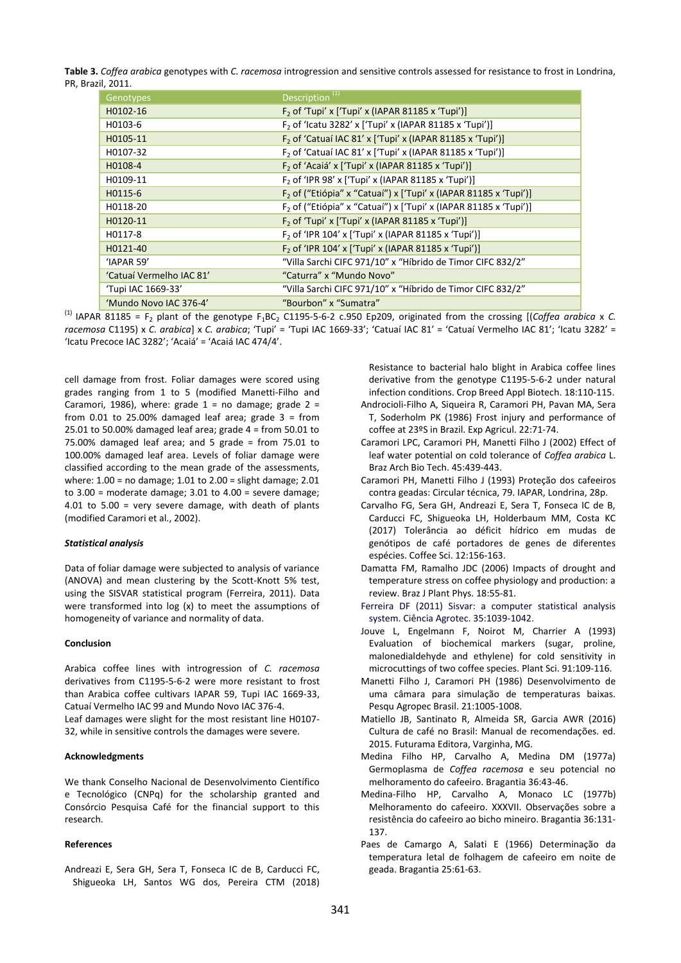**Table 3.** *Coffea arabica* genotypes with *C. racemosa* introgression and sensitive controls assessed for resistance to frost in Londrina, PR, Brazil, 2011.

| Genotypes                | Description <sup>(1)</sup>                                                   |
|--------------------------|------------------------------------------------------------------------------|
| H0102-16                 | $F2$ of 'Tupi' x ['Tupi' x (IAPAR 81185 x 'Tupi')]                           |
| H0103-6                  | F <sub>2</sub> of 'Icatu 3282' x ['Tupi' x (IAPAR 81185 x 'Tupi')]           |
| H0105-11                 | F <sub>2</sub> of 'Catuaí IAC 81' x ['Tupi' x (IAPAR 81185 x 'Tupi')]        |
| H0107-32                 | F <sub>2</sub> of 'Catuaí IAC 81' x ['Tupi' x (IAPAR 81185 x 'Tupi')]        |
| H0108-4                  | F <sub>2</sub> of 'Acaiá' x ['Tupi' x (IAPAR 81185 x 'Tupi')]                |
| H0109-11                 | F <sub>2</sub> of 'IPR 98' x ['Tupi' x (IAPAR 81185 x 'Tupi')]               |
| H0115-6                  | F <sub>2</sub> of ("Etiópia" x "Catuaí") x ['Tupi' x (IAPAR 81185 x 'Tupi')] |
| H0118-20                 | F <sub>2</sub> of ("Etiópia" x "Catuaí") x ['Tupi' x (IAPAR 81185 x 'Tupi')] |
| H0120-11                 | $F2$ of 'Tupi' x ['Tupi' x (IAPAR 81185 x 'Tupi')]                           |
| H0117-8                  | F <sub>2</sub> of 'IPR 104' x ['Tupi' x (IAPAR 81185 x 'Tupi')]              |
| H0121-40                 | F <sub>2</sub> of 'IPR 104' x ['Tupi' x (IAPAR 81185 x 'Tupi')]              |
| 'IAPAR 59'               | "Villa Sarchi CIFC 971/10" x "Híbrido de Timor CIFC 832/2"                   |
| 'Catuaí Vermelho IAC 81' | "Caturra" x "Mundo Novo"                                                     |
| 'Tupi IAC 1669-33'       | "Villa Sarchi CIFC 971/10" x "Híbrido de Timor CIFC 832/2"                   |
| 'Mundo Novo IAC 376-4'   | "Bourbon" x "Sumatra"                                                        |

<sup>(1)</sup> IAPAR 81185 = F<sub>2</sub> plant of the genotype F<sub>1</sub>BC<sub>2</sub> C1195-5-6-2 c.950 Ep209, originated from the crossing [(Coffea arabica x C. *racemosa* C1195) x *C. arabica*] x *C. arabica*; 'Tupi' = 'Tupi IAC 1669-33'; 'Catuaí IAC 81' = 'Catuaí Vermelho IAC 81'; 'Icatu 3282' = 'Icatu Precoce IAC 3282'; 'Acaiá' = 'Acaiá IAC 474/4'.

cell damage from frost. Foliar damages were scored using grades ranging from 1 to 5 (modified Manetti-Filho and Caramori, 1986), where: grade  $1 =$  no damage; grade  $2 =$ from  $0.01$  to  $25.00\%$  damaged leaf area; grade  $3 = from$ 25.01 to 50.00% damaged leaf area; grade  $4 =$  from 50.01 to 75.00% damaged leaf area; and 5 grade = from 75.01 to 100.00% damaged leaf area. Levels of foliar damage were classified according to the mean grade of the assessments, where: 1.00 = no damage; 1.01 to 2.00 = slight damage; 2.01 to 3.00 = moderate damage; 3.01 to 4.00 = severe damage; 4.01 to 5.00 = very severe damage, with death of plants (modified Caramori et al., 2002).

### *Statistical analysis*

Data of foliar damage were subjected to analysis of variance (ANOVA) and mean clustering by the Scott-Knott 5% test, using the SISVAR statistical program (Ferreira, 2011). Data were transformed into log (x) to meet the assumptions of homogeneity of variance and normality of data.

### **Conclusion**

Arabica coffee lines with introgression of *C. racemosa* derivatives from C1195-5-6-2 were more resistant to frost than Arabica coffee cultivars IAPAR 59, Tupi IAC 1669-33, Catuaí Vermelho IAC 99 and Mundo Novo IAC 376-4. Leaf damages were slight for the most resistant line H0107- 32, while in sensitive controls the damages were severe.

#### **Acknowledgments**

We thank Conselho Nacional de Desenvolvimento Científico e Tecnológico (CNPq) for the scholarship granted and Consórcio Pesquisa Café for the financial support to this research.

### **References**

Andreazi E, Sera GH, Sera T, Fonseca IC de B, Carducci FC, Shigueoka LH, Santos WG dos, Pereira CTM (2018) Resistance to bacterial halo blight in Arabica coffee lines derivative from the genotype C1195-5-6-2 under natural infection conditions. Crop Breed Appl Biotech. 18:110-115.

- Androcioli-Filho A, Siqueira R, Caramori PH, Pavan MA, Sera T, Soderholm PK (1986) Frost injury and performance of coffee at 23ºS in Brazil. Exp Agricul. 22:71-74.
- Caramori LPC, Caramori PH, Manetti Filho J (2002) Effect of leaf water potential on cold tolerance of *Coffea arabica* L. Braz Arch Bio Tech. 45:439-443.
- Caramori PH, Manetti Filho J (1993) Proteção dos cafeeiros contra geadas: Circular técnica, 79. IAPAR, Londrina, 28p.
- Carvalho FG, Sera GH, Andreazi E, Sera T, Fonseca IC de B, Carducci FC, Shigueoka LH, Holderbaum MM, Costa KC (2017) Tolerância ao déficit hídrico em mudas de genótipos de café portadores de genes de diferentes espécies. Coffee Sci. 12:156-163.
- Damatta FM, Ramalho JDC (2006) Impacts of drought and temperature stress on coffee physiology and production: a review. Braz J Plant Phys. 18:55-81.
- Ferreira DF (2011) Sisvar: a computer statistical analysis system. Ciência Agrotec. 35:1039-1042.
- Jouve L, Engelmann F, Noirot M, Charrier A (1993) Evaluation of biochemical markers (sugar, proline, malonedialdehyde and ethylene) for cold sensitivity in microcuttings of two coffee species. Plant Sci. 91:109-116.
- Manetti Filho J, Caramori PH (1986) Desenvolvimento de uma câmara para simulação de temperaturas baixas. Pesqu Agropec Brasil. 21:1005-1008.
- Matiello JB, Santinato R, Almeida SR, Garcia AWR (2016) Cultura de café no Brasil: Manual de recomendações. ed. 2015. Futurama Editora, Varginha, MG.
- Medina Filho HP, Carvalho A, Medina DM (1977a) Germoplasma de *Coffea racemosa* e seu potencial no melhoramento do cafeeiro. Bragantia 36:43-46.
- Medina-Filho HP, Carvalho A, Monaco LC (1977b) Melhoramento do cafeeiro. XXXVII. Observações sobre a resistência do cafeeiro ao bicho mineiro. Bragantia 36:131- 137.
- Paes de Camargo A, Salati E (1966) Determinação da temperatura letal de folhagem de cafeeiro em noite de geada. Bragantia 25:61-63.